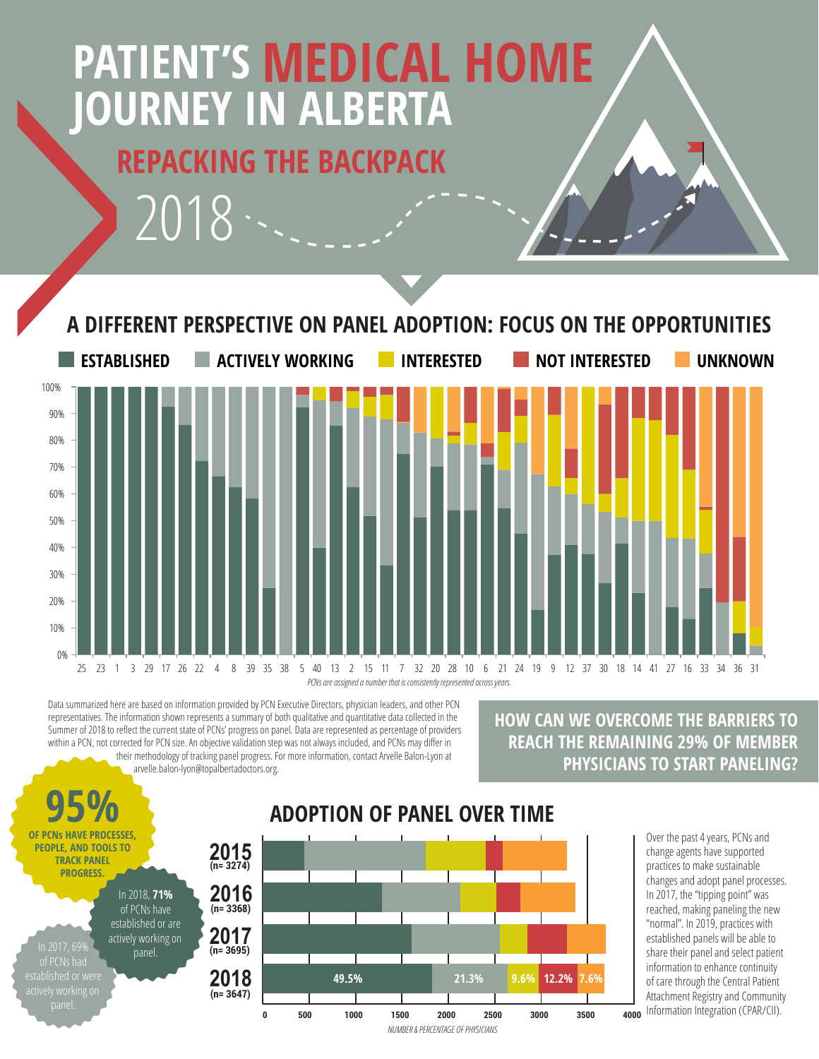# **REPACKING THE BACKPACK JOURNEY IN ALBERTA PATIENT'S MEDICAL HOME**

2018



*PCNs are assigned a number that is consistently represented across years.*

Data summarized here are based on information provided by PCN Executive Directors, physician leaders, and other PCN **International Control of the STABLISHED ACTIVE CON** representatives. The information shown represents a summary of both qualitative and quantitative data collected in the Summer of 2018 to reflect the current state of PCNs' progress on panel. Data are represented as percentage of providers within a PCN, not corrected for PCN size. An objective validation step was not always included, and PCNs may differ in their methodology of tracking panel progress. For more information, contact Arvelle Balon-Lyon at arvelle.balon-lyon@topalbertadoctors.org.

#### **HOW CAN WE OVERCOME THE BARRIERS TO REACH THE REMAINING 29% OF MEMBER PHYSICIANS TO START PANELING?**

**95% PEOPLE, AND TOOLS TO TRACK PANEL PROGRESS.** In 2018, **71%** of PCNs have established or are actively working on ,<br>panel.

## **ADOPTION OF PANEL OVER TIME**



Over the past 4 years, PCNs and change agents have supported practices to make sustainable changes and adopt panel processes. In 2017, the "tipping point" was reached, making paneling the new "normal". In 2019, practices with established panels will be able to share their panel and select patient information to enhance continuity of care through the Central Patient Attachment Registry and Community 4000 Information Integration (CPAR/CII).